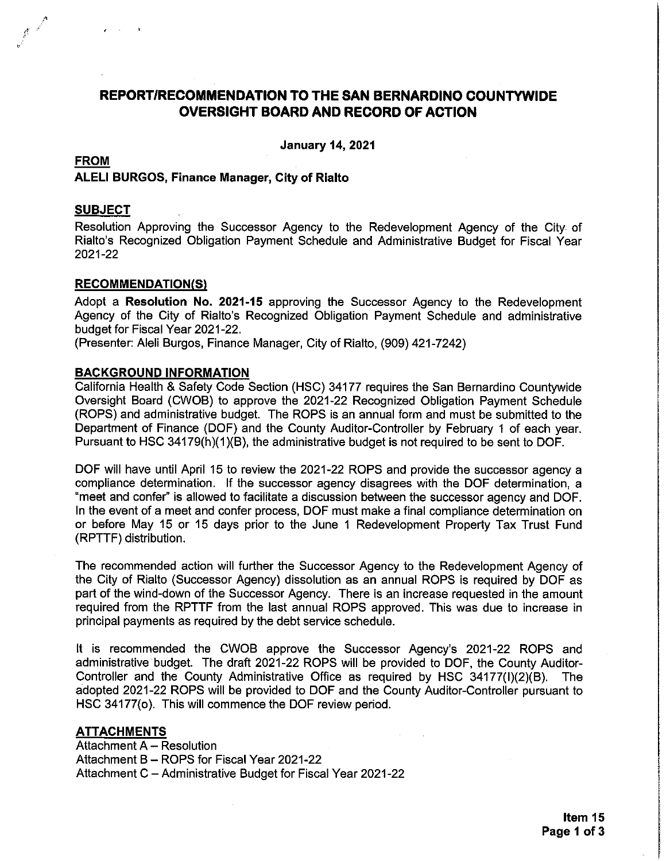# REPORT/RECOMMENDATION TO THE SAN BERNARDINO COUNTYWIDE **OVERSIGHT BOARD AND RECORD OF ACTION**

**January 14, 2021** 

# **FROM ALELI BURGOS, Finance Manager, City of Rialto**

## **SUBJECT**

Resolution Approving the Successor Agency to the Redevelopment Agency of the City of Rialto's Recognized Obligation Payment Schedule and Administrative Budget for Fiscal Year 2021-22

## **RECOMMENDATION(S)**

Adopt a Resolution No. 2021-15 approving the Successor Agency to the Redevelopment Agency of the City of Rialto's Recognized Obligation Payment Schedule and administrative budget for Fiscal Year 2021-22.

(Presenter: Aleli Burgos, Finance Manager, City of Rialto, (909) 421-7242)

## **BACKGROUND INFORMATION**

California Health & Safety Code Section (HSC) 34177 requires the San Bernardino Countywide Oversight Board (CWOB) to approve the 2021-22 Recognized Obligation Payment Schedule (ROPS) and administrative budget. The ROPS is an annual form and must be submitted to the Department of Finance (DOF) and the County Auditor-Controller by February 1 of each year. Pursuant to HSC 34179(h)(1)(B), the administrative budget is not required to be sent to DOF.

DOF will have until April 15 to review the 2021-22 ROPS and provide the successor agency a compliance determination. If the successor agency disagrees with the DOF determination, a "meet and confer" is allowed to facilitate a discussion between the successor agency and DOF. In the event of a meet and confer process, DOF must make a final compliance determination on or before May 15 or 15 days prior to the June 1 Redevelopment Property Tax Trust Fund (RPTTF) distribution.

The recommended action will further the Successor Agency to the Redevelopment Agency of the City of Rialto (Successor Agency) dissolution as an annual ROPS is required by DOF as part of the wind-down of the Successor Agency. There is an increase requested in the amount required from the RPTTF from the last annual ROPS approved. This was due to increase in principal payments as required by the debt service schedule.

It is recommended the CWOB approve the Successor Agency's 2021-22 ROPS and administrative budget. The draft 2021-22 ROPS will be provided to DOF, the County Auditor-Controller and the County Administrative Office as required by HSC 34177(I)(2)(B). The adopted 2021-22 ROPS will be provided to DOF and the County Auditor-Controller pursuant to HSC 34177(o). This will commence the DOF review period.

# **ATTACHMENTS**

Attachment A - Resolution Attachment B - ROPS for Fiscal Year 2021-22 Attachment C - Administrative Budget for Fiscal Year 2021-22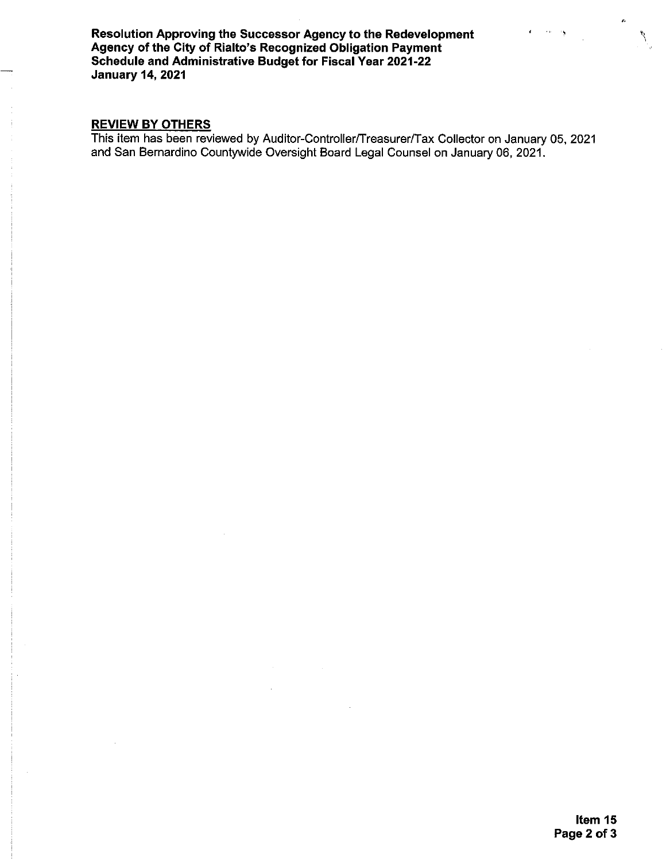Resolution Approving the Successor Agency to the Redevelopment Agency of the City of Rialto's Recognized Obligation Payment<br>Schedule and Administrative Budget for Fiscal Year 2021-22 **January 14, 2021** 

## **REVIEW BY OTHERS**

This item has been reviewed by Auditor-Controller/Treasurer/Tax Collector on January 05, 2021 and San Bernardino Countywide Oversight Board Legal Counsel on January 06, 2021.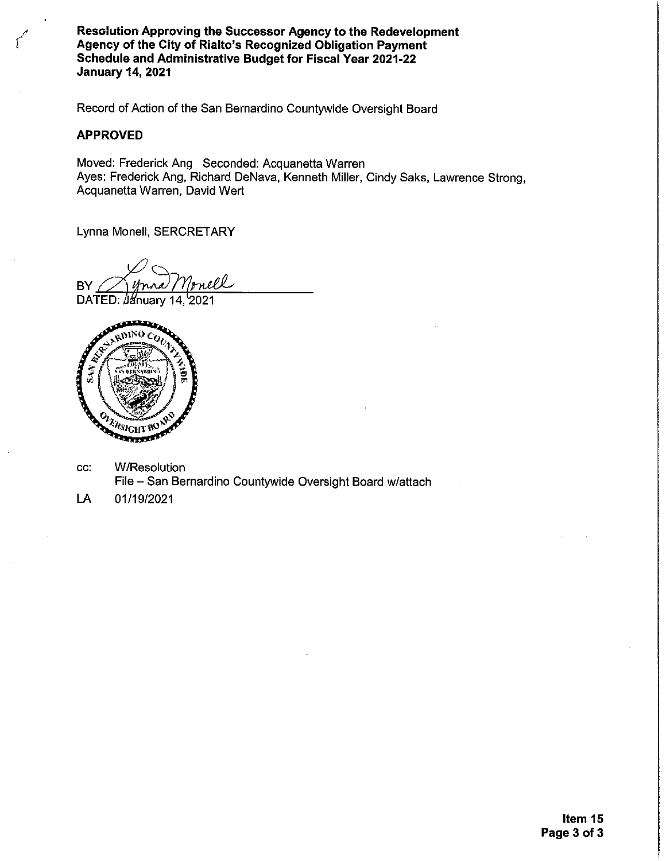Resclution Approving the Successor Agency to the Redevelopment Agency of the City of Rialto's Recognized Obligation Payment Schedule and Administrative Budget for Fiscal Year 2021-22 **January 14, 2021** 

Record of Action of the San Bernardino Countywide Oversight Board

#### **APPROVED**

Moved: Frederick Ang Seconded: Acquanetta Warren Ayes: Frederick Ang, Richard DeNava, Kenneth Miller, Cindy Saks, Lawrence Strong, Acquanetta Warren, David Wert

Lynna Monell, SERCRETARY

mell BY

DATED: January 14, 2021



- **W/Resolution** CC. File - San Bernardino Countywide Oversight Board w/attach
- LA 01/19/2021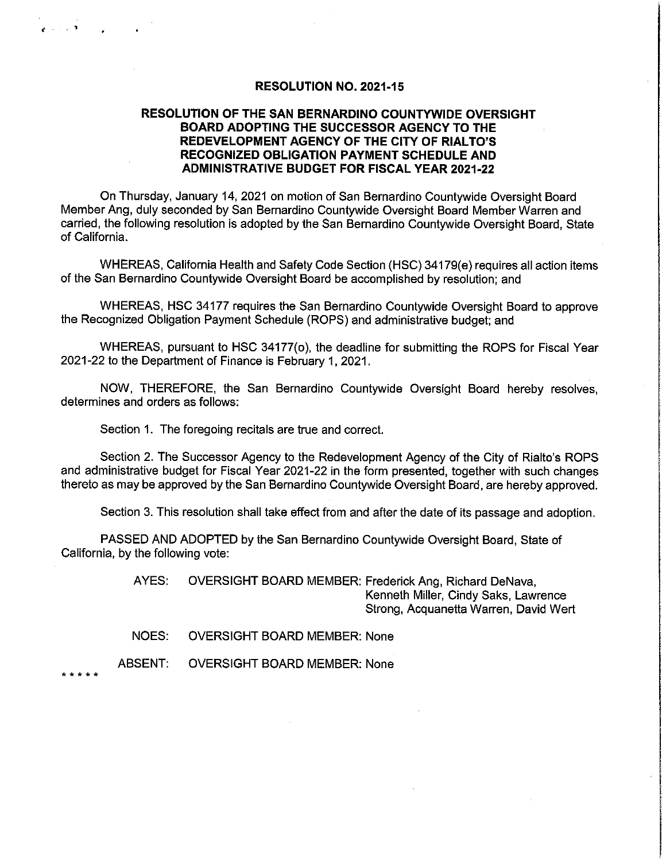#### **RESOLUTION NO. 2021-15**

## RESOLUTION OF THE SAN BERNARDINO COUNTYWIDE OVERSIGHT BOARD ADOPTING THE SUCCESSOR AGENCY TO THE REDEVELOPMENT AGENCY OF THE CITY OF RIALTO'S RECOGNIZED OBLIGATION PAYMENT SCHEDULE AND **ADMINISTRATIVE BUDGET FOR FISCAL YEAR 2021-22**

On Thursday, January 14, 2021 on motion of San Bernardino Countywide Oversight Board Member Ang, duly seconded by San Bernardino Countywide Oversight Board Member Warren and carried, the following resolution is adopted by the San Bernardino Countywide Oversight Board, State of California.

WHEREAS, California Health and Safety Code Section (HSC) 34179(e) requires all action items of the San Bernardino Countywide Oversight Board be accomplished by resolution; and

WHEREAS, HSC 34177 requires the San Bernardino Countywide Oversight Board to approve the Recognized Obligation Payment Schedule (ROPS) and administrative budget; and

WHEREAS, pursuant to HSC 34177(o), the deadline for submitting the ROPS for Fiscal Year 2021-22 to the Department of Finance is February 1, 2021.

NOW, THEREFORE, the San Bernardino Countywide Oversight Board hereby resolves, determines and orders as follows:

Section 1. The foregoing recitals are true and correct.

Section 2. The Successor Agency to the Redevelopment Agency of the City of Rialto's ROPS and administrative budget for Fiscal Year 2021-22 in the form presented, together with such changes thereto as may be approved by the San Bernardino Countywide Oversight Board, are hereby approved.

Section 3. This resolution shall take effect from and after the date of its passage and adoption.

PASSED AND ADOPTED by the San Bernardino Countywide Oversight Board, State of California, by the following vote:

> AYES: **OVERSIGHT BOARD MEMBER: Frederick Ang, Richard DeNava,** Kenneth Miller, Cindy Saks, Lawrence Strong, Acquanetta Warren, David Wert

**OVERSIGHT BOARD MEMBER: None NOES:** 

**ABSENT: OVERSIGHT BOARD MEMBER: None** 

. عالم عالم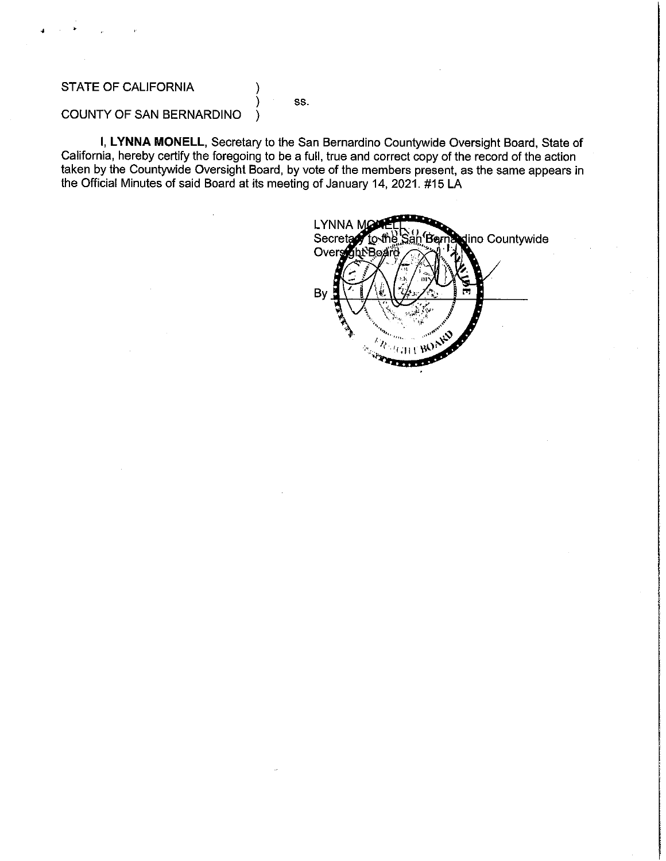# STATE OF CALIFORNIA

SS.

# COUNTY OF SAN BERNARDINO

I, LYNNA MONELL, Secretary to the San Bernardino Countywide Oversight Board, State of California, hereby certify the foregoing to be a full, true and correct copy of the record of the action taken by the Countywide Oversight Board, by vote of the members present, as the same appears in the Official Minutes of said Board at its meeting of January 14, 2021. #15 LA

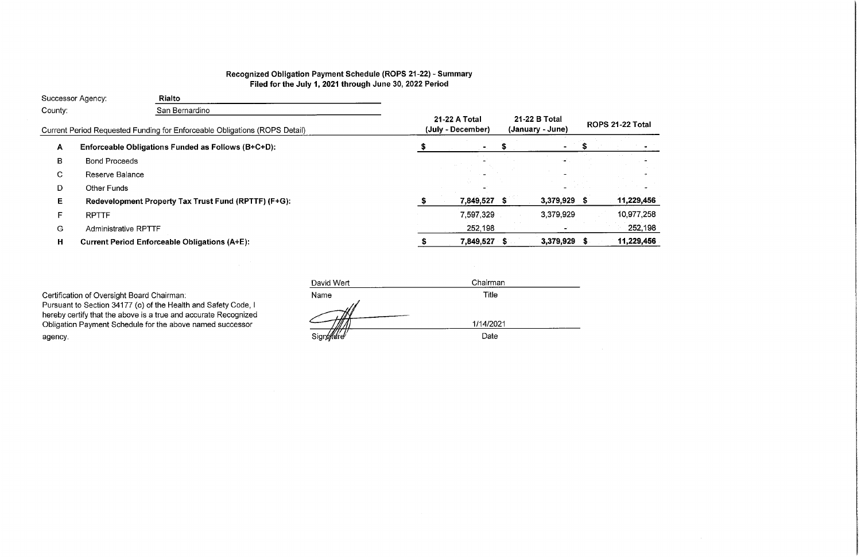# Recognized Obligation Payment Schedule (ROPS 21-22) - Summary<br>Filed for the July 1, 2021 through June 30, 2022 Period

|              | Successor Agency:           | <b>Rialto</b>                                                              |                                    |                                   |                     |
|--------------|-----------------------------|----------------------------------------------------------------------------|------------------------------------|-----------------------------------|---------------------|
| County:      |                             | San Bernardino                                                             |                                    |                                   |                     |
|              |                             | Current Period Requested Funding for Enforceable Obligations (ROPS Detail) | 21-22 A Total<br>(July - December) | 21-22 B Total<br>(January - June) | <b>ROPS 21-22 1</b> |
| $\mathbf{A}$ |                             | Enforceable Obligations Funded as Follows (B+C+D):                         |                                    |                                   |                     |
| B            | <b>Bond Proceeds</b>        |                                                                            |                                    |                                   |                     |
| C            | Reserve Balance             |                                                                            |                                    |                                   |                     |
| D            | Other Funds                 |                                                                            |                                    |                                   |                     |
| Е            |                             | Redevelopment Property Tax Trust Fund (RPTTF) (F+G):                       | 7,849,527 \$                       | 3,379,929 \$                      | 11,22               |
| F            | <b>RPTTF</b>                |                                                                            | 7,597,329                          | 3,379,929                         | 10,97               |
| G            | <b>Administrative RPTTF</b> |                                                                            | 252,198                            |                                   | 25                  |
| н            |                             | <b>Current Period Enforceable Obligations (A+E):</b>                       | 7,849,527                          | 3,379,929                         | 11,22               |
|              |                             |                                                                            |                                    |                                   |                     |

Certification of Oversight Board Chairman:<br>Pursuant to Section 34177 (o) of the Health and Safety Code, I<br>hereby certify that the above is a true and accurate Recognized<br>Obligation Payment Schedule for the above named succ agency.

| David Wert | Chairman  |  |
|------------|-----------|--|
| Name       | Title     |  |
|            |           |  |
|            | 1/14/2021 |  |
| Signa Wre  | Date      |  |

# Total?

| 29,456          |
|-----------------|
| 377,258         |
| <u> 252,198</u> |
| 229.456         |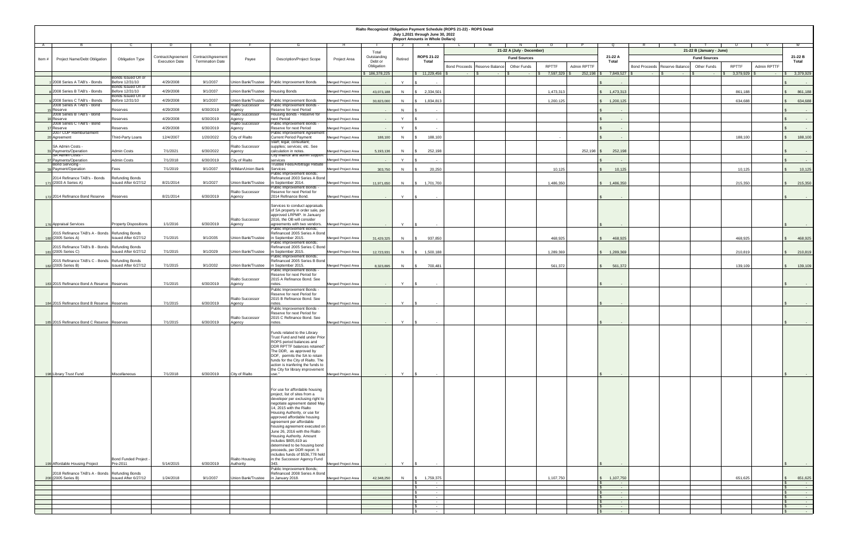|        | Rialto Recognized Obligation Payment Schedule (ROPS 21-22) - ROPS Detail<br>July 1,2021 through June 30, 2022<br>(Report Amounts in Whole Dollars) |                                                       |                       |                         |                                    |                                                                                                                                                                                                                                                                                                                                                                                                                                                                                                                                          |                     |                       |              |                                                    |                                                                              |              |                    |                                                                       |                          |                                 |                                           |              |                    |                                                                             |
|--------|----------------------------------------------------------------------------------------------------------------------------------------------------|-------------------------------------------------------|-----------------------|-------------------------|------------------------------------|------------------------------------------------------------------------------------------------------------------------------------------------------------------------------------------------------------------------------------------------------------------------------------------------------------------------------------------------------------------------------------------------------------------------------------------------------------------------------------------------------------------------------------------|---------------------|-----------------------|--------------|----------------------------------------------------|------------------------------------------------------------------------------|--------------|--------------------|-----------------------------------------------------------------------|--------------------------|---------------------------------|-------------------------------------------|--------------|--------------------|-----------------------------------------------------------------------------|
|        |                                                                                                                                                    |                                                       | Contract/Agreement    | Contract/Agreement      |                                    |                                                                                                                                                                                                                                                                                                                                                                                                                                                                                                                                          |                     | Total<br>Outstanding  |              | <b>ROPS 21-22</b>                                  | 21-22 A (July - December)                                                    |              |                    | 21-22 A                                                               | 21-22 B (January - June) |                                 |                                           |              |                    |                                                                             |
| Item # | <b>Project Name/Debt Obligation</b>                                                                                                                | <b>Obligation Type</b>                                | <b>Execution Date</b> | <b>Termination Date</b> | Payee                              | <b>Description/Project Scope</b>                                                                                                                                                                                                                                                                                                                                                                                                                                                                                                         | <b>Project Area</b> | Debt or<br>Obligation | Retired      | <b>Total</b>                                       | <b>Fund Sources</b><br><b>Other Funds</b><br>Bond Proceeds   Reserve Balance | <b>RPTTF</b> | <b>Admin RPTTF</b> | <b>Total</b>                                                          |                          | Bond Proceeds   Reserve Balance | <b>Fund Sources</b><br><b>Other Funds</b> | <b>RPTTF</b> | <b>Admin RPTTF</b> | 21-22 B<br><b>Total</b>                                                     |
|        | 2008 Series A TAB's - Bonds                                                                                                                        | Bonds Issued On or<br>Before 12/31/10                 | 4/29/2008             | 9/1/2037                | <b>Union Bank/Trustee</b>          | Public Improvement Bonds                                                                                                                                                                                                                                                                                                                                                                                                                                                                                                                 | Merged Project Area | \$186,378,225         | $\vee$       | $\frac{13}{2}$ 11,229,456                          | $\sim$ $ \sim$<br>$\sim$                                                     | 7,597,329    | $252,198$   3      | 7,849,527丨9                                                           |                          |                                 |                                           | 3,379,929    |                    | 3,379,929<br>$\sim 100$ m $^{-1}$                                           |
|        | 82008 Series B TAB's - Bonds                                                                                                                       | Bonds Issued On or<br>Before 12/31/10                 | 4/29/2008             | 9/1/2037                | Union Bank/Trustee                 | <b>Housing Bonds</b>                                                                                                                                                                                                                                                                                                                                                                                                                                                                                                                     | Merged Project Area | 43,073,188            | N            | 2,334,501                                          |                                                                              | 1,473,313    |                    | 1,473,313                                                             |                          |                                 |                                           | 861,188      |                    | 861,188                                                                     |
|        | 92008 Series C TAB's - Bonds                                                                                                                       | Bonds Issued On or<br>Before 12/31/10                 | 4/29/2008             | 9/1/2037                | Union Bank/Trustee                 | Public Improvement Bonds                                                                                                                                                                                                                                                                                                                                                                                                                                                                                                                 | Merged Project Area | 30,823,000            | N            | 1,834,813                                          |                                                                              | 1,200,125    |                    | 1,200,125                                                             |                          |                                 |                                           | 634,688      |                    | 634,688                                                                     |
|        | 2008 Series A TAB's - Bond<br>Reserve                                                                                                              | Reserves                                              | 4/29/2008             | 6/30/2019               | <b>Rialto Successor</b><br>Agency  | Public Improvement Bonds -<br>Reserve for next Period                                                                                                                                                                                                                                                                                                                                                                                                                                                                                    | Merged Project Area |                       | N            | $\sim$                                             |                                                                              |              |                    |                                                                       |                          |                                 |                                           |              |                    | $\sim 100$ m $^{-1}$                                                        |
|        | 2008 Series B TAB's - Bond<br><b>Reserve</b>                                                                                                       | Reserves                                              | 4/29/2008             | 6/30/2019               | Rialto Successor<br>Agency         | Housing Bonds - Reserve for<br>next Period                                                                                                                                                                                                                                                                                                                                                                                                                                                                                               | Merged Project Area |                       | $\vee$       |                                                    |                                                                              |              |                    |                                                                       |                          |                                 |                                           |              |                    | $\sim 100$ m $^{-1}$                                                        |
|        | 2008 Series C TAB's - Bond<br><b>Reserve</b>                                                                                                       | Reserves                                              | 4/29/2008             | 6/30/2019               | <b>Rialto Successor</b><br>Agency  | Public Improvement Bonds -<br>Reserve for next Period                                                                                                                                                                                                                                                                                                                                                                                                                                                                                    | Merged Project Area |                       | $\vee$       |                                                    |                                                                              |              |                    |                                                                       |                          |                                 |                                           |              |                    | $\sim 100$                                                                  |
|        | 2007 COP Reimbursement<br>Agreement                                                                                                                | Third-Party Loans                                     | 12/4/2007             | 1/20/2022               | City of Rialto                     | Public Improvement Agreement -<br><b>Current Period Payment</b>                                                                                                                                                                                                                                                                                                                                                                                                                                                                          | Merged Project Area | 188,100               |              | 188,100                                            |                                                                              | $\sim$       |                    |                                                                       |                          |                                 |                                           | 188,100      |                    | 188,100                                                                     |
|        | SA Admin Costs -                                                                                                                                   |                                                       |                       |                         | <b>Rialto Successor</b>            | Staff; legal; consultant;<br>supplies; services; etc. See                                                                                                                                                                                                                                                                                                                                                                                                                                                                                |                     |                       |              |                                                    |                                                                              |              |                    |                                                                       |                          |                                 |                                           |              |                    |                                                                             |
|        | 31 Payments/Operation<br><b>SA Admin Costs -</b>                                                                                                   | <b>Admin Costs</b>                                    | 7/1/2021              | 6/30/2022               | Agency                             | calculation in notes.<br>City finance and admin support                                                                                                                                                                                                                                                                                                                                                                                                                                                                                  | Merged Project Area | 5,193,136             | N            | 252,198                                            |                                                                              |              | 252,198            | 252,198                                                               |                          |                                 |                                           |              |                    | $\sim 100$ m $^{-1}$                                                        |
|        | 37 Payments/Operation<br><b>Bond Servicing -</b>                                                                                                   | <b>Admin Costs</b>                                    | 7/1/2018              | 6/30/2019               | City of Rialto                     | services<br><b>Trustee Fees/Arbitrage Rebate</b>                                                                                                                                                                                                                                                                                                                                                                                                                                                                                         | Merged Project Area |                       | $\mathsf{Y}$ | $\sim$                                             |                                                                              |              |                    |                                                                       |                          |                                 |                                           |              |                    | $\sim 100$ m $^{-1}$                                                        |
|        | 39 Payment/Operation                                                                                                                               | Fees                                                  | 7/1/2019              | 9/1/2037                | Willdan/Union Bank                 | Services<br><b>Public Improvement Bonds;</b>                                                                                                                                                                                                                                                                                                                                                                                                                                                                                             | Merged Project Area | 303,750               | N            | 20,250                                             |                                                                              | 10,125       |                    | 10,125                                                                |                          |                                 |                                           | 10,125       |                    | 10,125                                                                      |
|        | 2014 Refinance TAB's - Bonds<br>171 (2003 A Series A)                                                                                              | <b>Refunding Bonds</b><br><b>Issued After 6/27/12</b> | 8/21/2014             | 9/1/2027                | Union Bank/Trustee                 | Refinanced 2003 Series A Bond<br>in September 2014.                                                                                                                                                                                                                                                                                                                                                                                                                                                                                      | Merged Project Area | 11,971,650            | N            | $\frac{1}{2}$ 1,701,700                            |                                                                              | 1,486,350    |                    | $\frac{1}{3}$ 1,486,350                                               |                          |                                 |                                           | 215,350      |                    | 215,350                                                                     |
|        |                                                                                                                                                    |                                                       |                       |                         | <b>Rialto Successor</b>            | <b>Public Improvement Bonds -</b><br>Reserve for next Period for                                                                                                                                                                                                                                                                                                                                                                                                                                                                         |                     |                       |              |                                                    |                                                                              |              |                    |                                                                       |                          |                                 |                                           |              |                    |                                                                             |
|        | 172 2014 Refinance Bond Reserve                                                                                                                    | Reserves                                              | 8/21/2014             | 6/30/2019               | Agency                             | 2014 Refinance Bond.                                                                                                                                                                                                                                                                                                                                                                                                                                                                                                                     | Merged Project Area | $\sim$ $-$            | Y            | $\sim$                                             |                                                                              |              |                    |                                                                       |                          |                                 |                                           |              |                    | <b>Contract Contract</b>                                                    |
|        |                                                                                                                                                    |                                                       |                       |                         |                                    | Services to conduct appraisals<br>of SA property in order sale, per                                                                                                                                                                                                                                                                                                                                                                                                                                                                      |                     |                       |              |                                                    |                                                                              |              |                    |                                                                       |                          |                                 |                                           |              |                    |                                                                             |
|        |                                                                                                                                                    |                                                       |                       |                         | <b>Rialto Successor</b>            | approved LRPMP. In January<br>2016, the OB will consider                                                                                                                                                                                                                                                                                                                                                                                                                                                                                 |                     |                       |              |                                                    |                                                                              |              |                    |                                                                       |                          |                                 |                                           |              |                    |                                                                             |
|        | 176 Appraisal Services                                                                                                                             | <b>Property Dispositions</b>                          | 1/1/2016              | 6/30/2019               | Agency                             | agreements with two vendors.  Merged Project Area<br>Public Improvement Bonds;                                                                                                                                                                                                                                                                                                                                                                                                                                                           |                     |                       | Y            |                                                    |                                                                              |              |                    |                                                                       |                          |                                 |                                           |              |                    |                                                                             |
|        | 2015 Refinance TAB's A - Bonds Refunding Bonds<br>180 (2005 Series A)                                                                              | Issued After 6/27/12                                  | 7/1/2015              | 9/1/2035                | Union Bank/Trustee                 | Refinanced 2005 Series A Bond<br>in September 2015.<br>Public Improvement Bonds;                                                                                                                                                                                                                                                                                                                                                                                                                                                         | Merged Project Area | 31,429,325            | N            | 937,850                                            |                                                                              | 468,925      |                    | 468,925                                                               |                          |                                 |                                           | 468,925      |                    | 468,925                                                                     |
|        | 2015 Refinance TAB's B - Bonds Refunding Bonds<br>181 (2005 Series C)                                                                              | Issued After 6/27/12                                  | 7/1/2015              | 9/1/2029                | Union Bank/Trustee                 | Refinanced 2005 Series C Bond<br>in September 2015.                                                                                                                                                                                                                                                                                                                                                                                                                                                                                      | Merged Project Area |                       |              | 1,500,188                                          |                                                                              | 1,289,369    |                    | 1,289,369                                                             |                          |                                 |                                           | 210,819      |                    |                                                                             |
|        | 2015 Refinance TAB's C - Bonds Refunding Bonds                                                                                                     |                                                       |                       |                         |                                    | Public Improvement Bonds;<br>Refinanced 2005 Series B Bond                                                                                                                                                                                                                                                                                                                                                                                                                                                                               |                     | 12,723,931            | N            |                                                    |                                                                              |              |                    |                                                                       |                          |                                 |                                           |              |                    | 210,819                                                                     |
|        | 182 (2005 Series B)                                                                                                                                | Issued After 6/27/12                                  | 7/1/2015              | 9/1/2032                | Union Bank/Trustee                 | in September 2015.<br>Public Improvement Bonds -                                                                                                                                                                                                                                                                                                                                                                                                                                                                                         | Merged Project Area | 8,323,895             | N            | 700,481                                            |                                                                              | 561,372      |                    | 561,372                                                               |                          |                                 |                                           | 139,109      |                    | 139,109                                                                     |
|        |                                                                                                                                                    |                                                       |                       |                         | <b>Rialto Successor</b>            | Reserve for next Period for<br>2015 A Refinance Bond. See                                                                                                                                                                                                                                                                                                                                                                                                                                                                                |                     |                       |              |                                                    |                                                                              |              |                    |                                                                       |                          |                                 |                                           |              |                    |                                                                             |
|        | 183 2015 Refinance Bond A Reserve Reserves                                                                                                         |                                                       | 7/1/2015              | 6/30/2019               | Agency                             | notes.                                                                                                                                                                                                                                                                                                                                                                                                                                                                                                                                   | Merged Project Area | $\sim$                | Y            |                                                    |                                                                              |              |                    |                                                                       |                          |                                 |                                           |              |                    |                                                                             |
|        |                                                                                                                                                    |                                                       |                       |                         | <b>Rialto Successor</b>            | Public Improvement Bonds -<br>Reserve for next Period for<br>2015 B Refinance Bond. See                                                                                                                                                                                                                                                                                                                                                                                                                                                  |                     |                       |              |                                                    |                                                                              |              |                    |                                                                       |                          |                                 |                                           |              |                    |                                                                             |
|        | 184 2015 Refinance Bond B Reserve Reserves                                                                                                         |                                                       | 7/1/2015              | 6/30/2019               | Agency                             | notes                                                                                                                                                                                                                                                                                                                                                                                                                                                                                                                                    | Merged Project Area | $\sim 100$            | Y            | $\sim$                                             |                                                                              |              |                    |                                                                       |                          |                                 |                                           |              |                    |                                                                             |
|        |                                                                                                                                                    |                                                       |                       |                         | <b>Rialto Successor</b>            | Public Improvement Bonds -<br>Reserve for next Period for<br>2015 C Refinance Bond. See                                                                                                                                                                                                                                                                                                                                                                                                                                                  |                     |                       |              |                                                    |                                                                              |              |                    |                                                                       |                          |                                 |                                           |              |                    |                                                                             |
|        | 185 2015 Refinance Bond C Reserve Reserves                                                                                                         |                                                       | 7/1/2015              | 6/30/2019               | Agency                             | notes.                                                                                                                                                                                                                                                                                                                                                                                                                                                                                                                                   | Merged Project Area |                       | Y            |                                                    |                                                                              |              |                    |                                                                       |                          |                                 |                                           |              |                    |                                                                             |
|        | 198 Library Trust Fund                                                                                                                             | <b>Miscellaneous</b>                                  | 7/1/2018              | 6/30/2019               | <b>City of Rialto</b>              | Funds related to the Library<br>Trust Fund and held under Prior<br>ROPS period balances and<br>DDR RPTTF balances retained"<br>The DDR, as approved by<br>DOF, permits the SA to retain<br>funds for the City of Rialto. The<br>action is tranfering the funds to<br>the City for library improvement                                                                                                                                                                                                                                    | Merged Project Area |                       | Y            |                                                    |                                                                              |              |                    |                                                                       |                          |                                 |                                           |              |                    | $\sim$ 100 $\sim$                                                           |
|        | 199 Affordable Housing Project                                                                                                                     | <b>Bond Funded Project -</b><br>Pre-2011              | 5/14/2015             | 6/30/2019               | <b>Rialto Housing</b><br>Authority | For use for affordable housing<br>project, list of sites from a<br>developer per exclusing right to  <br>negotiate agreement dated May<br>14, 2015 with the Rialto<br>Housing Authority, or use for<br>approved affordable housing<br>agreement per affordable<br>housing agreement executed on<br>June 26, 2016 with the Rialto<br>Housing Authority. Amount<br>$ $ includes $$805,619$ as<br>determined to be housing bond<br>proceeds, per DDR report. It<br>includes funds of \$536,778 held<br>in the Successor Agency Fund<br>343. | Merged Project Area | $\sim 100$ m $^{-1}$  | Y            | IS.<br>$\sim$                                      |                                                                              |              |                    |                                                                       |                          |                                 |                                           |              |                    |                                                                             |
|        | 2018 Refinance TAB's A - Bonds Refunding Bonds                                                                                                     |                                                       |                       |                         |                                    | Public Improvement Bonds;<br>Refinanced 2008 Series A Bond                                                                                                                                                                                                                                                                                                                                                                                                                                                                               |                     |                       |              |                                                    |                                                                              |              |                    |                                                                       |                          |                                 |                                           |              |                    |                                                                             |
|        | 200 (2005 Series B)                                                                                                                                | Issued After 6/27/12                                  | 1/24/2018             | 9/1/2037                | Union Bank/Trustee                 | in January 2018.                                                                                                                                                                                                                                                                                                                                                                                                                                                                                                                         | Merged Project Area | 42,348,250            | N            | 1,759,375<br>$\sqrt{S}$<br>$\sim$                  |                                                                              | 1,107,750    |                    | $\frac{1}{5}$ 1,107,750<br>$\sim$ 100 $\sim$                          |                          |                                 |                                           | 651,625      |                    | 651,625                                                                     |
|        |                                                                                                                                                    |                                                       |                       |                         |                                    |                                                                                                                                                                                                                                                                                                                                                                                                                                                                                                                                          |                     |                       |              | $\sim$                                             |                                                                              |              |                    | $\sim$ $ \sim$ $-$<br><b>State State</b>                              |                          |                                 |                                           |              |                    | <b>Service Contract</b>                                                     |
|        |                                                                                                                                                    |                                                       |                       |                         |                                    |                                                                                                                                                                                                                                                                                                                                                                                                                                                                                                                                          |                     |                       |              | $\sim$ 100 $-$ 100 $-$<br><b>Service Contracts</b> |                                                                              |              |                    | the company's state of the com-<br><b>Service Committee Committee</b> |                          |                                 |                                           |              |                    | and the company of the company<br><b>Service Contract Contract</b>          |
|        |                                                                                                                                                    |                                                       |                       |                         |                                    |                                                                                                                                                                                                                                                                                                                                                                                                                                                                                                                                          |                     |                       |              | $\sim$ 100 $-$ 100 $-$<br><b>Contract Contract</b> |                                                                              |              |                    | <b>Contract Contract Contract</b><br><b>State State</b>               |                          |                                 |                                           |              |                    | <b>Service Contract Contract Contract</b><br><b>Contract Contract State</b> |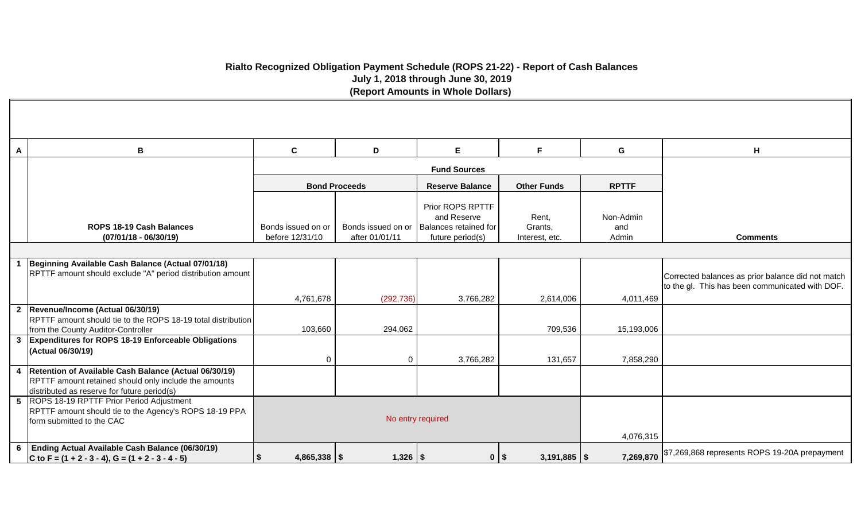# **Rialto Recognized Obligation Payment Schedule (ROPS 21-22) - Report of Cash Balances July 1, 2018 through June 30, 2019 (Report Amounts in Whole Dollars)**

| A                       | B                                                                                                                                                             | $\mathbf{C}$                          | D                                    | E.                                                                           | F.                                 | G                         | H                                                                                                    |
|-------------------------|---------------------------------------------------------------------------------------------------------------------------------------------------------------|---------------------------------------|--------------------------------------|------------------------------------------------------------------------------|------------------------------------|---------------------------|------------------------------------------------------------------------------------------------------|
|                         |                                                                                                                                                               |                                       |                                      | <b>Fund Sources</b>                                                          |                                    |                           |                                                                                                      |
|                         |                                                                                                                                                               |                                       | <b>Bond Proceeds</b>                 | <b>Reserve Balance</b>                                                       | <b>Other Funds</b>                 | <b>RPTTF</b>              |                                                                                                      |
|                         | ROPS 18-19 Cash Balances<br>$(07/01/18 - 06/30/19)$                                                                                                           | Bonds issued on or<br>before 12/31/10 | Bonds issued on or<br>after 01/01/11 | Prior ROPS RPTTF<br>and Reserve<br>Balances retained for<br>future period(s) | Rent,<br>Grants,<br>Interest, etc. | Non-Admin<br>and<br>Admin | <b>Comments</b>                                                                                      |
|                         |                                                                                                                                                               |                                       |                                      |                                                                              |                                    |                           |                                                                                                      |
|                         | Beginning Available Cash Balance (Actual 07/01/18)<br>RPTTF amount should exclude "A" period distribution amount                                              |                                       |                                      |                                                                              |                                    |                           | Corrected balances as prior balance did not match<br>to the gl. This has been communicated with DOF. |
|                         | 2 Revenue/Income (Actual 06/30/19)                                                                                                                            | 4,761,678                             | (292, 736)                           | 3,766,282                                                                    | 2,614,006                          | 4,011,469                 |                                                                                                      |
|                         | RPTTF amount should tie to the ROPS 18-19 total distribution<br>from the County Auditor-Controller                                                            | 103,660                               | 294,062                              |                                                                              | 709,536                            | 15,193,006                |                                                                                                      |
| $\mathbf{3}$            | <b>Expenditures for ROPS 18-19 Enforceable Obligations</b><br>(Actual 06/30/19)                                                                               | 0                                     | $\Omega$                             | 3,766,282                                                                    | 131,657                            | 7,858,290                 |                                                                                                      |
| $\overline{\mathbf{4}}$ | Retention of Available Cash Balance (Actual 06/30/19)<br>RPTTF amount retained should only include the amounts<br>distributed as reserve for future period(s) |                                       |                                      |                                                                              |                                    |                           |                                                                                                      |
|                         | 5 ROPS 18-19 RPTTF Prior Period Adjustment<br>RPTTF amount should tie to the Agency's ROPS 18-19 PPA<br>form submitted to the CAC                             |                                       | No entry required                    | 4,076,315                                                                    |                                    |                           |                                                                                                      |
| 6                       | Ending Actual Available Cash Balance (06/30/19)<br>C to F = $(1 + 2 - 3 - 4)$ , G = $(1 + 2 - 3 - 4 - 5)$                                                     | $4,865,338$ \\$<br><b>S</b>           | $1,326$ \ \\$                        | $0$   \$                                                                     | $3,191,885$ \\$                    |                           | 7,269,870 \$7,269,868 represents ROPS 19-20A prepayment                                              |